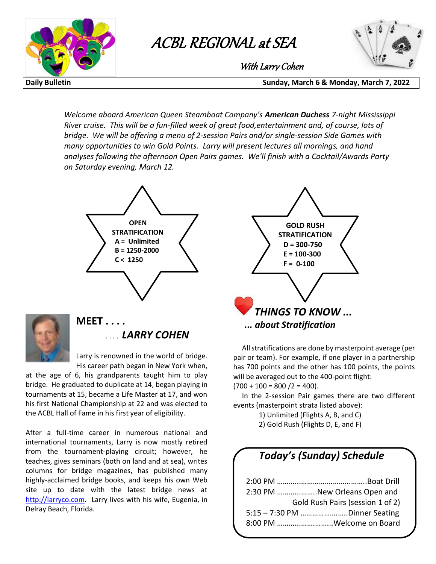

# **ACBL Regional at Sea with Larry Cohen** ACBL REGIONAL at SEA



With Larry Cohen

**Daily Bulletin Sunday, March 6 & Monday, March 7, 2022** with Larry Cohen and the Larry Cohen and the Larry Cohen and the Larry Cohen and the Larry Cohen and the Larry Cohen and the Larry Cohen and the Larry Cohen and the Larry Cohen and the Larry Cohen and the Larry Cohen and t

> *Welcome aboard American Queen Steamboat Company's American Duchess 7-night Mississippi River cruise. This will be a fun-filled week of great food,entertainment and, of course, lots of bridge. We will be offering a menu of 2-session Pairs and/or single-session Side Games with many opportunities to win Gold Points. Larry will present lectures all mornings, and hand analyses following the afternoon Open Pairs games. We'll finish with a Cocktail/Awards Party on Saturday evening, March 12.*





## **MEET . . . .** . . . . *LARRY COHEN*

Larry is renowned in the world of bridge. His career path began in New York when,

at the age of 6, his grandparents taught him to play bridge. He graduated to duplicate at 14, began playing in tournaments at 15, became a Life Master at 17, and won his first National Championship at 22 and was elected to the ACBL Hall of Fame in his first year of eligibility.

After a full-time career in numerous national and international tournaments, Larry is now mostly retired from the tournament-playing circuit; however, he teaches, gives seminars (both on land and at sea), writes columns for bridge magazines, has published many highly-acclaimed bridge books, and keeps his own Web site up to date with the latest bridge news at http://larryco.com. Larry lives with his wife, Eugenia, in Delray Beach, Florida.



 All stratifications are done by masterpoint average (per pair or team). For example, if one player in a partnership has 700 points and the other has 100 points, the points will be averaged out to the 400-point flight:  $(700 + 100 = 800 / 2 = 400).$ 

 In the 2-session Pair games there are two different events (masterpoint strata listed above):

1) Unlimited (Flights A, B, and C)

2) Gold Rush (Flights D, E, and F)

## *Today's (Sunday) Schedule*

| 2:30 PM New Orleans Open and  |                                  |
|-------------------------------|----------------------------------|
|                               | Gold Rush Pairs (session 1 of 2) |
| 5:15 - 7:30 PM Dinner Seating |                                  |
| 8:00 PM Welcome on Board      |                                  |